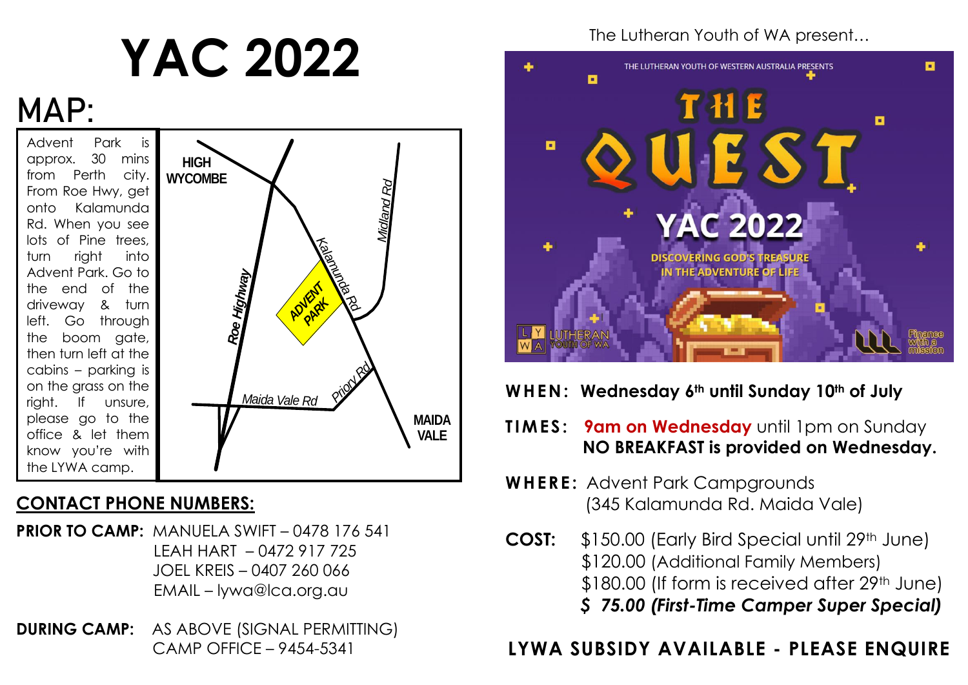# **YAC 2022**

# **MAP:**

Advent Park is approx. 30 mins from Perth city. From Roe Hwy, get onto Kalamunda Rd. When you see lots of Pine trees, turn right into Advent Park. Go to the end of the driveway & turn left. Go through the boom gate, then turn left at the cabins – parking is on the grass on the right. If unsure, please go to the office & let them know you're with the LYWA camp. , ر<br>د



### **CONTACT PHONE NUMBERS:**

- **PRIOR TO CAMP:** MANUELA SWIFT 0478 176 541 LEAH HART – 0472 917 725 JOEL KREIS – 0407 260 066 EMAIL – lywa@lca.org.au
- **DURING CAMP:** AS ABOVE (SIGNAL PERMITTING) CAMP OFFICE – 9454-5341

The Lutheran Youth of WA present…



### **WHEN: Wednesday 6th until Sunday 10th of July**

- **TIMES: 9am on Wednesday** until 1pm on Sunday  **NO BREAKFAST is provided on Wednesday.**
- **WHERE: Advent Park Campgrounds** (345 Kalamunda Rd. Maida Vale)
- **COST:** \$150.00 (Early Bird Special until 29th June) \$120.00 (Additional Family Members) \$180.00 (If form is received after 29<sup>th</sup> June) *\$ 75.00 (First-Time Camper Super Special)*

# **LYWA SUBSIDY AVAILABLE - PLEASE ENQUIRE**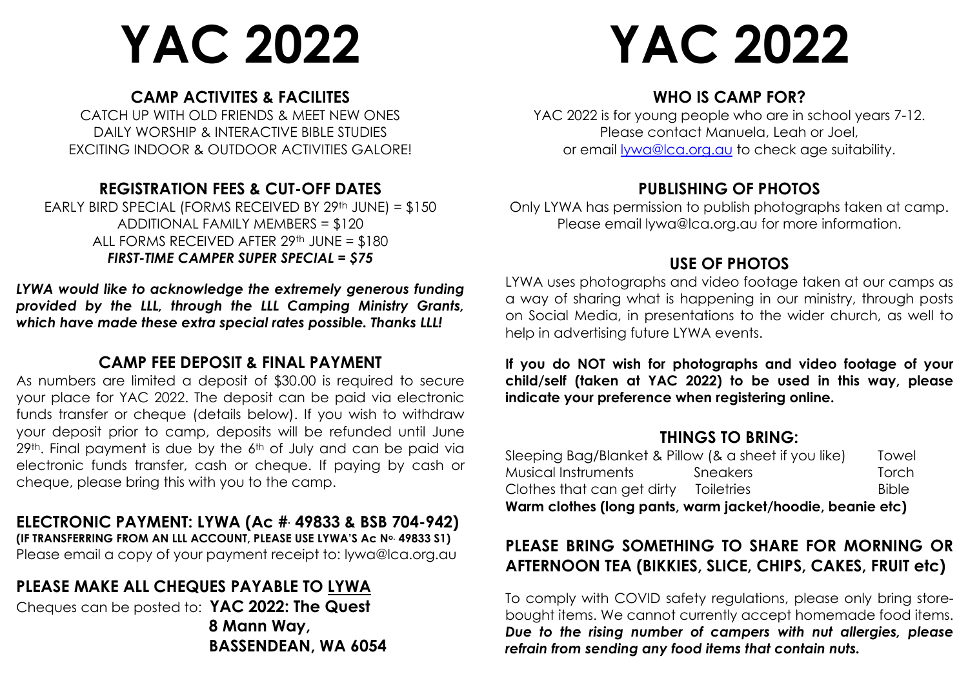# **YAC 2022**

#### **CAMP ACTIVITES & FACILITES**

CATCH UP WITH OLD FRIENDS & MEET NEW ONES DAILY WORSHIP & INTERACTIVE BIBLE STUDIES EXCITING INDOOR & OUTDOOR ACTIVITIES GALORE!

#### **REGISTRATION FEES & CUT-OFF DATES**

EARLY BIRD SPECIAL (FORMS RECEIVED BY 29th JUNE) = \$150 ADDITIONAL FAMILY MEMBERS = \$120 ALL FORMS RECEIVED AFTER 29th JUNE = \$180 *FIRST-TIME CAMPER SUPER SPECIAL = \$75*

*LYWA would like to acknowledge the extremely generous funding provided by the LLL, through the LLL Camping Ministry Grants, which have made these extra special rates possible. Thanks LLL!*

#### **CAMP FEE DEPOSIT & FINAL PAYMENT**

As numbers are limited a deposit of \$30.00 is required to secure your place for YAC 2022. The deposit can be paid via electronic funds transfer or cheque (details below). If you wish to withdraw your deposit prior to camp, deposits will be refunded until June 29<sup>th</sup>. Final payment is due by the 6<sup>th</sup> of July and can be paid via electronic funds transfer, cash or cheque. If paying by cash or cheque, please bring this with you to the camp.

# **ELECTRONIC PAYMENT: LYWA (Ac #. 49833 & BSB 704-942)**

**(IF TRANSFERRING FROM AN LLL ACCOUNT, PLEASE USE LYWA'S Ac No. 49833 S1)** Please email a copy of your payment receipt to: lywa@lca.org.au

### **PLEASE MAKE ALL CHEQUES PAYABLE TO LYWA**

Cheques can be posted to: **YAC 2022: The Quest 8 Mann Way, BASSENDEAN, WA 6054**

# **YAC 2022**

#### **WHO IS CAMP FOR?**

YAC 2022 is for young people who are in school years 7-12. Please contact Manuela, Leah or Joel, or email [lywa@lca.org.au](mailto:lywa@lca.org.au) to check age suitability.

#### **PUBLISHING OF PHOTOS**

Only LYWA has permission to publish photographs taken at camp. Please email lywa@lca.org.au for more information.

#### **USE OF PHOTOS**

LYWA uses photographs and video footage taken at our camps as a way of sharing what is happening in our ministry, through posts on Social Media, in presentations to the wider church, as well to help in advertising future LYWA events.

**If you do NOT wish for photographs and video footage of your child/self (taken at YAC 2022) to be used in this way, please indicate your preference when registering online.**

#### **THINGS TO BRING:**

| Warm clothes (long pants, warm jacket/hoodie, beanie etc) |                   |              |
|-----------------------------------------------------------|-------------------|--------------|
| Clothes that can get dirty                                | <b>Toiletries</b> | <b>Bible</b> |
| Musical Instruments                                       | Sneakers          | Torch        |
| Sleeping Bag/Blanket & Pillow (& a sheet if you like)     |                   | Towel        |

#### **PLEASE BRING SOMETHING TO SHARE FOR MORNING OR AFTERNOON TEA (BIKKIES, SLICE, CHIPS, CAKES, FRUIT etc)**

To comply with COVID safety regulations, please only bring storebought items. We cannot currently accept homemade food items. *Due to the rising number of campers with nut allergies, please refrain from sending any food items that contain nuts.*